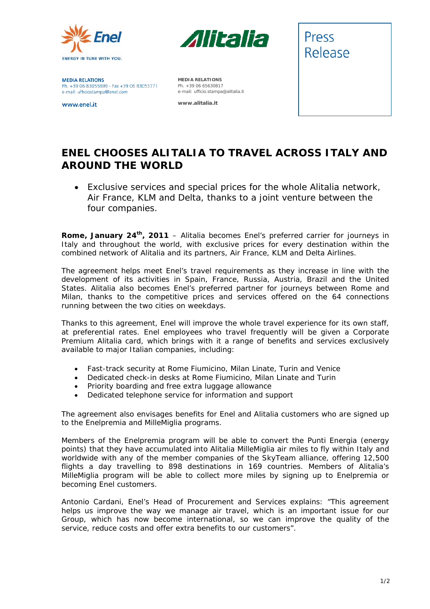



**MEDIA RELATIONS** Ph. +39 06 83055699 - Fax +39 06 83053771 e-mail: ufficiostampa@enel.com

www.enel.it

**MEDIA RELATIONS**  Ph. +39 06 65630817 e-mail: ufficio.stampa@alitalia.it

**www.alitalia.it** 



## **ENEL CHOOSES ALITALIA TO TRAVEL ACROSS ITALY AND AROUND THE WORLD**

• *Exclusive services and special prices for the whole Alitalia network, Air France, KLM and Delta, thanks to a joint venture between the four companies.* 

**Rome, January 24th, 2011** – Alitalia becomes Enel's preferred carrier for journeys in Italy and throughout the world, with exclusive prices for every destination within the combined network of Alitalia and its partners, Air France, KLM and Delta Airlines.

The agreement helps meet Enel's travel requirements as they increase in line with the development of its activities in Spain, France, Russia, Austria, Brazil and the United States. Alitalia also becomes Enel's preferred partner for journeys between Rome and Milan, thanks to the competitive prices and services offered on the 64 connections running between the two cities on weekdays.

Thanks to this agreement, Enel will improve the whole travel experience for its own staff, at preferential rates. Enel employees who travel frequently will be given a Corporate Premium Alitalia card, which brings with it a range of benefits and services exclusively available to major Italian companies, including:

- Fast-track security at Rome Fiumicino, Milan Linate, Turin and Venice
- Dedicated check-in desks at Rome Fiumicino, Milan Linate and Turin
- Priority boarding and free extra luggage allowance
- Dedicated telephone service for information and support

The agreement also envisages benefits for Enel and Alitalia customers who are signed up to the Enelpremia and MilleMiglia programs.

Members of the Enelpremia program will be able to convert the Punti Energia (energy points) that they have accumulated into Alitalia MilleMiglia air miles to fly within Italy and worldwide with any of the member companies of the SkyTeam alliance, offering 12,500 flights a day travelling to 898 destinations in 169 countries. Members of Alitalia's MilleMiglia program will be able to collect more miles by signing up to Enelpremia or becoming Enel customers.

Antonio Cardani, Enel's Head of Procurement and Services explains: "*This agreement helps us improve the way we manage air travel, which is an important issue for our Group, which has now become international, so we can improve the quality of the service, reduce costs and offer extra benefits to our customers*".